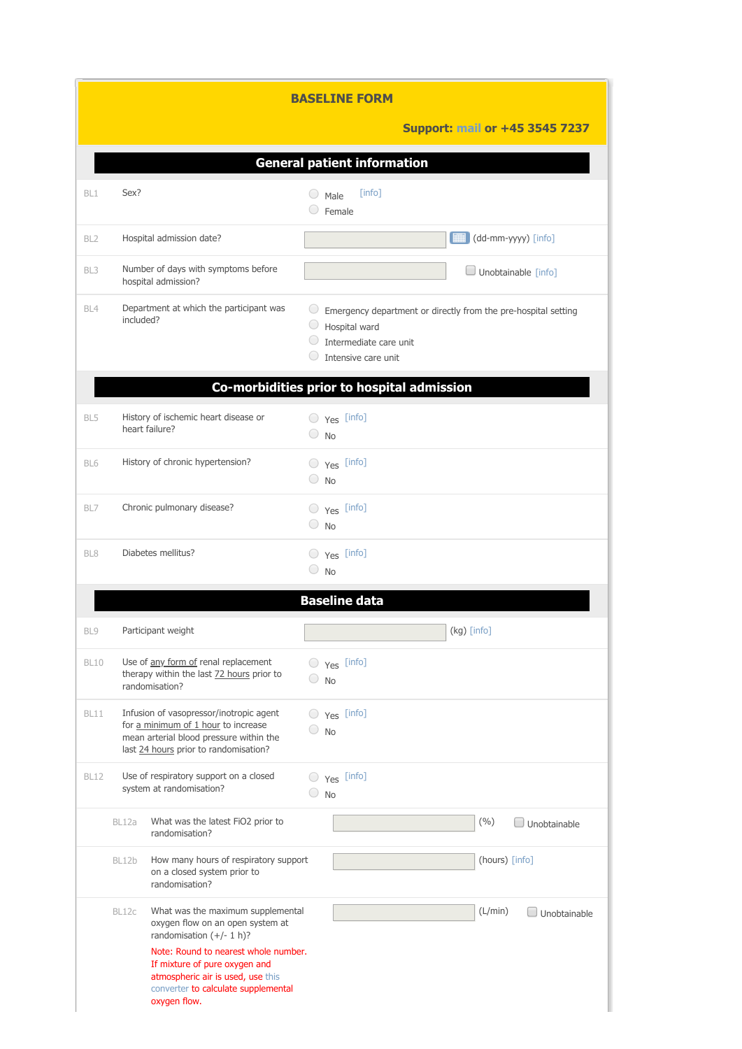| <b>BASELINE FORM</b>               |                                            |                                                                                                                                                                                                                                                                          |                                 |                |                                                                           |                                                                        |  |  |  |
|------------------------------------|--------------------------------------------|--------------------------------------------------------------------------------------------------------------------------------------------------------------------------------------------------------------------------------------------------------------------------|---------------------------------|----------------|---------------------------------------------------------------------------|------------------------------------------------------------------------|--|--|--|
|                                    |                                            |                                                                                                                                                                                                                                                                          |                                 |                |                                                                           | <b>Support: mail or +45 3545 7237</b>                                  |  |  |  |
| <b>General patient information</b> |                                            |                                                                                                                                                                                                                                                                          |                                 |                |                                                                           |                                                                        |  |  |  |
| BL1                                | Sex?                                       |                                                                                                                                                                                                                                                                          | $\left(\begin{array}{c}\right)$ | Male<br>Female | [info]                                                                    |                                                                        |  |  |  |
| BL <sub>2</sub>                    |                                            | Hospital admission date?                                                                                                                                                                                                                                                 |                                 |                |                                                                           | (dd-mm-yyyy) [info]                                                    |  |  |  |
| BL <sub>3</sub>                    |                                            | Number of days with symptoms before<br>hospital admission?                                                                                                                                                                                                               |                                 |                |                                                                           | Unobtainable [info]                                                    |  |  |  |
| BL4                                | included?                                  | Department at which the participant was                                                                                                                                                                                                                                  |                                 |                | Hospital ward<br>$\bigcirc$ Intermediate care unit<br>Intensive care unit | $\circ$ Emergency department or directly from the pre-hospital setting |  |  |  |
|                                    | Co-morbidities prior to hospital admission |                                                                                                                                                                                                                                                                          |                                 |                |                                                                           |                                                                        |  |  |  |
| BL5                                |                                            | History of ischemic heart disease or<br>heart failure?                                                                                                                                                                                                                   |                                 | $\bigcirc$ No  | $\bigcirc$ $\gamma$ es [info]                                             |                                                                        |  |  |  |
| BL6                                |                                            | History of chronic hypertension?                                                                                                                                                                                                                                         |                                 | $\bigcirc$ No  | $\bigcirc$ $\gamma$ es [info]                                             |                                                                        |  |  |  |
| BL7                                |                                            | Chronic pulmonary disease?                                                                                                                                                                                                                                               |                                 | $\bigcirc$ No  | $\bigcirc$ $\gamma$ es [info]                                             |                                                                        |  |  |  |
| BL8                                |                                            | Diabetes mellitus?                                                                                                                                                                                                                                                       |                                 | $\bigcirc$ No  | $\bigcirc$ $\gamma_{\text{es}}$ [info]                                    |                                                                        |  |  |  |
|                                    |                                            |                                                                                                                                                                                                                                                                          |                                 |                | <b>Baseline data</b>                                                      |                                                                        |  |  |  |
| BL9                                |                                            | Participant weight                                                                                                                                                                                                                                                       |                                 |                |                                                                           | (kg) [info]                                                            |  |  |  |
| BL10                               |                                            | Use of any form of renal replacement<br>therapy within the last 72 hours prior to<br>randomisation?                                                                                                                                                                      | 0                               | <b>No</b>      | $\bigcirc$ $\gamma$ es [info]                                             |                                                                        |  |  |  |
| <b>BL11</b>                        |                                            | Infusion of vasopressor/inotropic agent<br>for a minimum of 1 hour to increase<br>mean arterial blood pressure within the<br>last 24 hours prior to randomisation?                                                                                                       |                                 | $\bigcirc$ No  | $\bigcirc$ $\gamma$ es [info]                                             |                                                                        |  |  |  |
| <b>BL12</b>                        |                                            | Use of respiratory support on a closed<br>system at randomisation?                                                                                                                                                                                                       |                                 | $\bigcirc$ No  | $\bigcirc$ $\gamma$ es [info]                                             |                                                                        |  |  |  |
|                                    | BL12a                                      | What was the latest FiO2 prior to<br>randomisation?                                                                                                                                                                                                                      |                                 |                |                                                                           | (%)<br>J Unobtainable                                                  |  |  |  |
|                                    | BL12b                                      | How many hours of respiratory support<br>on a closed system prior to<br>randomisation?                                                                                                                                                                                   |                                 |                |                                                                           | (hours) [info]                                                         |  |  |  |
|                                    | BL12c                                      | What was the maximum supplemental<br>oxygen flow on an open system at<br>randomisation $(+/- 1 h)?$<br>Note: Round to nearest whole number.<br>If mixture of pure oxygen and<br>atmospheric air is used, use this<br>converter to calculate supplemental<br>oxygen flow. |                                 |                |                                                                           | (L/min)<br>Unobtainable                                                |  |  |  |